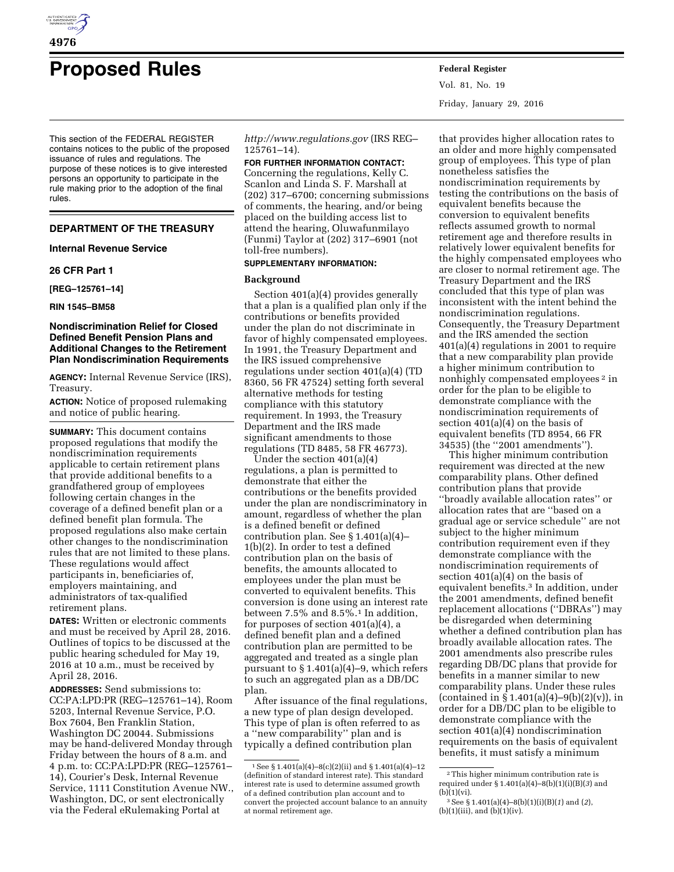

# **Proposed Rules Federal Register**

This section of the FEDERAL REGISTER contains notices to the public of the proposed issuance of rules and regulations. The purpose of these notices is to give interested persons an opportunity to participate in the rule making prior to the adoption of the final rules.

## **DEPARTMENT OF THE TREASURY**

## **Internal Revenue Service**

## **26 CFR Part 1**

**[REG–125761–14]** 

## **RIN 1545–BM58**

## **Nondiscrimination Relief for Closed Defined Benefit Pension Plans and Additional Changes to the Retirement Plan Nondiscrimination Requirements**

**AGENCY:** Internal Revenue Service (IRS), Treasury.

**ACTION:** Notice of proposed rulemaking and notice of public hearing.

**SUMMARY:** This document contains proposed regulations that modify the nondiscrimination requirements applicable to certain retirement plans that provide additional benefits to a grandfathered group of employees following certain changes in the coverage of a defined benefit plan or a defined benefit plan formula. The proposed regulations also make certain other changes to the nondiscrimination rules that are not limited to these plans. These regulations would affect participants in, beneficiaries of, employers maintaining, and administrators of tax-qualified retirement plans.

**DATES:** Written or electronic comments and must be received by April 28, 2016. Outlines of topics to be discussed at the public hearing scheduled for May 19, 2016 at 10 a.m., must be received by April 28, 2016.

**ADDRESSES:** Send submissions to: CC:PA:LPD:PR (REG–125761–14), Room 5203, Internal Revenue Service, P.O. Box 7604, Ben Franklin Station, Washington DC 20044. Submissions may be hand-delivered Monday through Friday between the hours of 8 a.m. and 4 p.m. to: CC:PA:LPD:PR (REG–125761– 14), Courier's Desk, Internal Revenue Service, 1111 Constitution Avenue NW., Washington, DC, or sent electronically via the Federal eRulemaking Portal at

*<http://www.regulations.gov>* (IRS REG– 125761–14).

**FOR FURTHER INFORMATION CONTACT:**  Concerning the regulations, Kelly C. Scanlon and Linda S. F. Marshall at (202) 317–6700; concerning submissions of comments, the hearing, and/or being placed on the building access list to attend the hearing, Oluwafunmilayo (Funmi) Taylor at (202) 317–6901 (not toll-free numbers).

#### **SUPPLEMENTARY INFORMATION:**

#### **Background**

Section 401(a)(4) provides generally that a plan is a qualified plan only if the contributions or benefits provided under the plan do not discriminate in favor of highly compensated employees. In 1991, the Treasury Department and the IRS issued comprehensive regulations under section 401(a)(4) (TD 8360, 56 FR 47524) setting forth several alternative methods for testing compliance with this statutory requirement. In 1993, the Treasury Department and the IRS made significant amendments to those regulations (TD 8485, 58 FR 46773).

Under the section 401(a)(4) regulations, a plan is permitted to demonstrate that either the contributions or the benefits provided under the plan are nondiscriminatory in amount, regardless of whether the plan is a defined benefit or defined contribution plan. See § 1.401(a)(4)– 1(b)(2). In order to test a defined contribution plan on the basis of benefits, the amounts allocated to employees under the plan must be converted to equivalent benefits. This conversion is done using an interest rate between 7.5% and  $8.5\%$ .<sup>1</sup> In addition, for purposes of section 401(a)(4), a defined benefit plan and a defined contribution plan are permitted to be aggregated and treated as a single plan pursuant to § 1.401(a)(4)–9, which refers to such an aggregated plan as a DB/DC plan.

After issuance of the final regulations, a new type of plan design developed. This type of plan is often referred to as a ''new comparability'' plan and is typically a defined contribution plan

Vol. 81, No. 19 Friday, January 29, 2016

that provides higher allocation rates to an older and more highly compensated group of employees. This type of plan nonetheless satisfies the nondiscrimination requirements by testing the contributions on the basis of equivalent benefits because the conversion to equivalent benefits reflects assumed growth to normal retirement age and therefore results in relatively lower equivalent benefits for the highly compensated employees who are closer to normal retirement age. The Treasury Department and the IRS concluded that this type of plan was inconsistent with the intent behind the nondiscrimination regulations. Consequently, the Treasury Department and the IRS amended the section 401(a)(4) regulations in 2001 to require that a new comparability plan provide a higher minimum contribution to nonhighly compensated employees 2 in order for the plan to be eligible to demonstrate compliance with the nondiscrimination requirements of section 401(a)(4) on the basis of equivalent benefits (TD 8954, 66 FR 34535) (the ''2001 amendments'').

This higher minimum contribution requirement was directed at the new comparability plans. Other defined contribution plans that provide ''broadly available allocation rates'' or allocation rates that are ''based on a gradual age or service schedule'' are not subject to the higher minimum contribution requirement even if they demonstrate compliance with the nondiscrimination requirements of section 401(a)(4) on the basis of equivalent benefits.3 In addition, under the 2001 amendments, defined benefit replacement allocations (''DBRAs'') may be disregarded when determining whether a defined contribution plan has broadly available allocation rates. The 2001 amendments also prescribe rules regarding DB/DC plans that provide for benefits in a manner similar to new comparability plans. Under these rules (contained in  $\S 1.401(a)(4) - 9(b)(2)(v)$ ), in order for a DB/DC plan to be eligible to demonstrate compliance with the section 401(a)(4) nondiscrimination requirements on the basis of equivalent benefits, it must satisfy a minimum

**4976** 

 $1$  See § 1.401(a)(4)-8(c)(2)(ii) and § 1.401(a)(4)-12 (definition of standard interest rate). This standard interest rate is used to determine assumed growth of a defined contribution plan account and to convert the projected account balance to an annuity at normal retirement age.

<sup>2</sup>This higher minimum contribution rate is required under § 1.401(a)(4)–8(b)(1)(i)(B)(*3*) and (b)(1)(vi).

<sup>3</sup>See § 1.401(a)(4)–8(b)(1)(i)(B)(*1*) and (*2*),  $(b)(1)(iii)$ , and  $(b)(1)(iv)$ .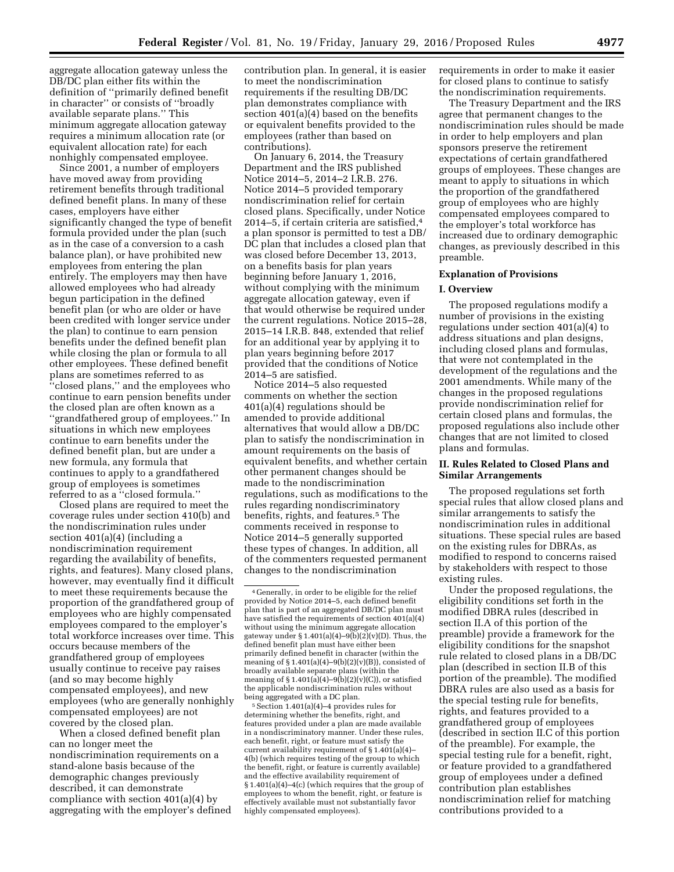aggregate allocation gateway unless the DB/DC plan either fits within the definition of ''primarily defined benefit in character'' or consists of ''broadly available separate plans.'' This minimum aggregate allocation gateway requires a minimum allocation rate (or equivalent allocation rate) for each nonhighly compensated employee.

Since 2001, a number of employers have moved away from providing retirement benefits through traditional defined benefit plans. In many of these cases, employers have either significantly changed the type of benefit formula provided under the plan (such as in the case of a conversion to a cash balance plan), or have prohibited new employees from entering the plan entirely. The employers may then have allowed employees who had already begun participation in the defined benefit plan (or who are older or have been credited with longer service under the plan) to continue to earn pension benefits under the defined benefit plan while closing the plan or formula to all other employees. These defined benefit plans are sometimes referred to as ''closed plans,'' and the employees who continue to earn pension benefits under the closed plan are often known as a ''grandfathered group of employees.'' In situations in which new employees continue to earn benefits under the defined benefit plan, but are under a new formula, any formula that continues to apply to a grandfathered group of employees is sometimes referred to as a ''closed formula.''

Closed plans are required to meet the coverage rules under section 410(b) and the nondiscrimination rules under section 401(a)(4) (including a nondiscrimination requirement regarding the availability of benefits, rights, and features). Many closed plans, however, may eventually find it difficult to meet these requirements because the proportion of the grandfathered group of employees who are highly compensated employees compared to the employer's total workforce increases over time. This occurs because members of the grandfathered group of employees usually continue to receive pay raises (and so may become highly compensated employees), and new employees (who are generally nonhighly compensated employees) are not covered by the closed plan.

When a closed defined benefit plan can no longer meet the nondiscrimination requirements on a stand-alone basis because of the demographic changes previously described, it can demonstrate compliance with section 401(a)(4) by aggregating with the employer's defined

contribution plan. In general, it is easier to meet the nondiscrimination requirements if the resulting DB/DC plan demonstrates compliance with section 401(a)(4) based on the benefits or equivalent benefits provided to the employees (rather than based on contributions).

On January 6, 2014, the Treasury Department and the IRS published Notice 2014–5, 2014–2 I.R.B. 276. Notice 2014–5 provided temporary nondiscrimination relief for certain closed plans. Specifically, under Notice 2014–5, if certain criteria are satisfied,4 a plan sponsor is permitted to test a DB/ DC plan that includes a closed plan that was closed before December 13, 2013, on a benefits basis for plan years beginning before January 1, 2016, without complying with the minimum aggregate allocation gateway, even if that would otherwise be required under the current regulations. Notice 2015–28, 2015–14 I.R.B. 848, extended that relief for an additional year by applying it to plan years beginning before 2017 provided that the conditions of Notice 2014–5 are satisfied.

Notice 2014–5 also requested comments on whether the section 401(a)(4) regulations should be amended to provide additional alternatives that would allow a DB/DC plan to satisfy the nondiscrimination in amount requirements on the basis of equivalent benefits, and whether certain other permanent changes should be made to the nondiscrimination regulations, such as modifications to the rules regarding nondiscriminatory benefits, rights, and features.5 The comments received in response to Notice 2014–5 generally supported these types of changes. In addition, all of the commenters requested permanent changes to the nondiscrimination

 $5$  Section 1.401(a)(4)–4 provides rules for determining whether the benefits, right, and features provided under a plan are made available in a nondiscriminatory manner. Under these rules, each benefit, right, or feature must satisfy the current availability requirement of  $\S 1.401(a)(4)$ -4(b) (which requires testing of the group to which the benefit, right, or feature is currently available) and the effective availability requirement of § 1.401(a)(4)–4(c) (which requires that the group of employees to whom the benefit, right, or feature is effectively available must not substantially favor highly compensated employees).

requirements in order to make it easier for closed plans to continue to satisfy the nondiscrimination requirements.

The Treasury Department and the IRS agree that permanent changes to the nondiscrimination rules should be made in order to help employers and plan sponsors preserve the retirement expectations of certain grandfathered groups of employees. These changes are meant to apply to situations in which the proportion of the grandfathered group of employees who are highly compensated employees compared to the employer's total workforce has increased due to ordinary demographic changes, as previously described in this preamble.

#### **Explanation of Provisions**

#### **I. Overview**

The proposed regulations modify a number of provisions in the existing regulations under section 401(a)(4) to address situations and plan designs, including closed plans and formulas, that were not contemplated in the development of the regulations and the 2001 amendments. While many of the changes in the proposed regulations provide nondiscrimination relief for certain closed plans and formulas, the proposed regulations also include other changes that are not limited to closed plans and formulas.

## **II. Rules Related to Closed Plans and Similar Arrangements**

The proposed regulations set forth special rules that allow closed plans and similar arrangements to satisfy the nondiscrimination rules in additional situations. These special rules are based on the existing rules for DBRAs, as modified to respond to concerns raised by stakeholders with respect to those existing rules.

Under the proposed regulations, the eligibility conditions set forth in the modified DBRA rules (described in section II.A of this portion of the preamble) provide a framework for the eligibility conditions for the snapshot rule related to closed plans in a DB/DC plan (described in section II.B of this portion of the preamble). The modified DBRA rules are also used as a basis for the special testing rule for benefits, rights, and features provided to a grandfathered group of employees (described in section II.C of this portion of the preamble). For example, the special testing rule for a benefit, right, or feature provided to a grandfathered group of employees under a defined contribution plan establishes nondiscrimination relief for matching contributions provided to a

<sup>4</sup> Generally, in order to be eligible for the relief provided by Notice 2014–5, each defined benefit plan that is part of an aggregated DB/DC plan must have satisfied the requirements of section 401(a)(4) without using the minimum aggregate allocation gateway under § 1.401(a)(4)–9(b)(2)(v)(D). Thus, the defined benefit plan must have either been primarily defined benefit in character (within the meaning of  $\S 1.401(a)(4) - 9(b)(2)(v)(B)$ , consisted of broadly available separate plans (within the meaning of  $\S 1.401(a)(4)-9(b)(2)(v)(C)$ , or satisfied the applicable nondiscrimination rules without being aggregated with a DC plan.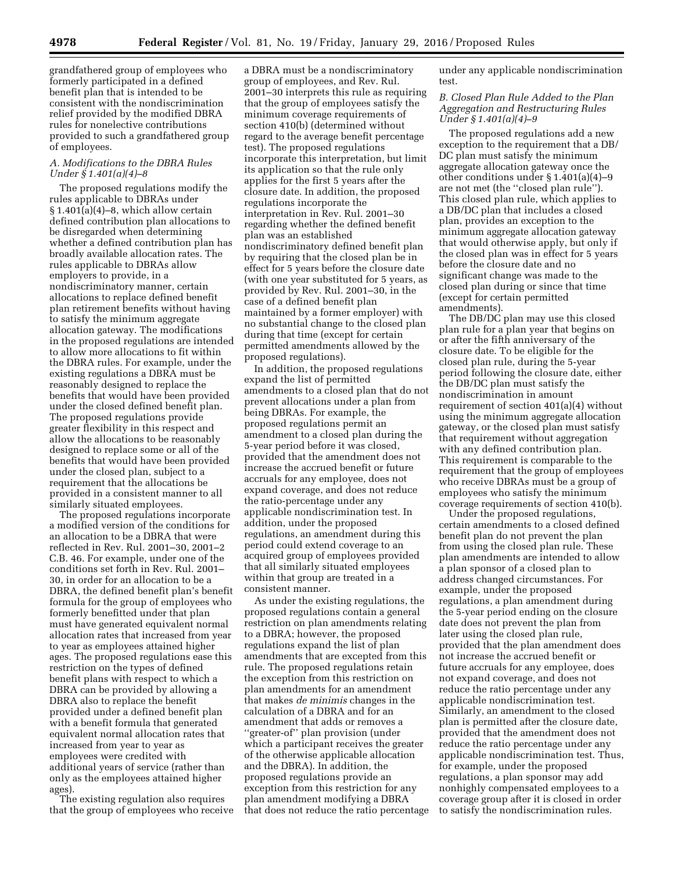grandfathered group of employees who formerly participated in a defined benefit plan that is intended to be consistent with the nondiscrimination relief provided by the modified DBRA rules for nonelective contributions provided to such a grandfathered group of employees.

## *A. Modifications to the DBRA Rules Under § 1.401(a)(4)–8*

The proposed regulations modify the rules applicable to DBRAs under  $§ 1.401(a)(4)–8$ , which allow certain defined contribution plan allocations to be disregarded when determining whether a defined contribution plan has broadly available allocation rates. The rules applicable to DBRAs allow employers to provide, in a nondiscriminatory manner, certain allocations to replace defined benefit plan retirement benefits without having to satisfy the minimum aggregate allocation gateway. The modifications in the proposed regulations are intended to allow more allocations to fit within the DBRA rules. For example, under the existing regulations a DBRA must be reasonably designed to replace the benefits that would have been provided under the closed defined benefit plan. The proposed regulations provide greater flexibility in this respect and allow the allocations to be reasonably designed to replace some or all of the benefits that would have been provided under the closed plan, subject to a requirement that the allocations be provided in a consistent manner to all similarly situated employees.

The proposed regulations incorporate a modified version of the conditions for an allocation to be a DBRA that were reflected in Rev. Rul. 2001–30, 2001–2 C.B. 46. For example, under one of the conditions set forth in Rev. Rul. 2001– 30, in order for an allocation to be a DBRA, the defined benefit plan's benefit formula for the group of employees who formerly benefitted under that plan must have generated equivalent normal allocation rates that increased from year to year as employees attained higher ages. The proposed regulations ease this restriction on the types of defined benefit plans with respect to which a DBRA can be provided by allowing a DBRA also to replace the benefit provided under a defined benefit plan with a benefit formula that generated equivalent normal allocation rates that increased from year to year as employees were credited with additional years of service (rather than only as the employees attained higher ages).

The existing regulation also requires that the group of employees who receive

a DBRA must be a nondiscriminatory group of employees, and Rev. Rul. 2001–30 interprets this rule as requiring that the group of employees satisfy the minimum coverage requirements of section 410(b) (determined without regard to the average benefit percentage test). The proposed regulations incorporate this interpretation, but limit its application so that the rule only applies for the first 5 years after the closure date. In addition, the proposed regulations incorporate the interpretation in Rev. Rul. 2001–30 regarding whether the defined benefit plan was an established nondiscriminatory defined benefit plan by requiring that the closed plan be in effect for 5 years before the closure date (with one year substituted for 5 years, as provided by Rev. Rul. 2001–30, in the case of a defined benefit plan maintained by a former employer) with no substantial change to the closed plan during that time (except for certain permitted amendments allowed by the proposed regulations).

In addition, the proposed regulations expand the list of permitted amendments to a closed plan that do not prevent allocations under a plan from being DBRAs. For example, the proposed regulations permit an amendment to a closed plan during the 5-year period before it was closed, provided that the amendment does not increase the accrued benefit or future accruals for any employee, does not expand coverage, and does not reduce the ratio-percentage under any applicable nondiscrimination test. In addition, under the proposed regulations, an amendment during this period could extend coverage to an acquired group of employees provided that all similarly situated employees within that group are treated in a consistent manner.

As under the existing regulations, the proposed regulations contain a general restriction on plan amendments relating to a DBRA; however, the proposed regulations expand the list of plan amendments that are excepted from this rule. The proposed regulations retain the exception from this restriction on plan amendments for an amendment that makes *de minimis* changes in the calculation of a DBRA and for an amendment that adds or removes a ''greater-of'' plan provision (under which a participant receives the greater of the otherwise applicable allocation and the DBRA). In addition, the proposed regulations provide an exception from this restriction for any plan amendment modifying a DBRA that does not reduce the ratio percentage under any applicable nondiscrimination test.

## *B. Closed Plan Rule Added to the Plan Aggregation and Restructuring Rules Under § 1.401(a)(4)–9*

The proposed regulations add a new exception to the requirement that a DB/ DC plan must satisfy the minimum aggregate allocation gateway once the other conditions under § 1.401(a)(4)–9 are not met (the ''closed plan rule''). This closed plan rule, which applies to a DB/DC plan that includes a closed plan, provides an exception to the minimum aggregate allocation gateway that would otherwise apply, but only if the closed plan was in effect for 5 years before the closure date and no significant change was made to the closed plan during or since that time (except for certain permitted amendments).

The DB/DC plan may use this closed plan rule for a plan year that begins on or after the fifth anniversary of the closure date. To be eligible for the closed plan rule, during the 5-year period following the closure date, either the DB/DC plan must satisfy the nondiscrimination in amount requirement of section 401(a)(4) without using the minimum aggregate allocation gateway, or the closed plan must satisfy that requirement without aggregation with any defined contribution plan. This requirement is comparable to the requirement that the group of employees who receive DBRAs must be a group of employees who satisfy the minimum coverage requirements of section 410(b).

Under the proposed regulations, certain amendments to a closed defined benefit plan do not prevent the plan from using the closed plan rule. These plan amendments are intended to allow a plan sponsor of a closed plan to address changed circumstances. For example, under the proposed regulations, a plan amendment during the 5-year period ending on the closure date does not prevent the plan from later using the closed plan rule, provided that the plan amendment does not increase the accrued benefit or future accruals for any employee, does not expand coverage, and does not reduce the ratio percentage under any applicable nondiscrimination test. Similarly, an amendment to the closed plan is permitted after the closure date, provided that the amendment does not reduce the ratio percentage under any applicable nondiscrimination test. Thus, for example, under the proposed regulations, a plan sponsor may add nonhighly compensated employees to a coverage group after it is closed in order to satisfy the nondiscrimination rules.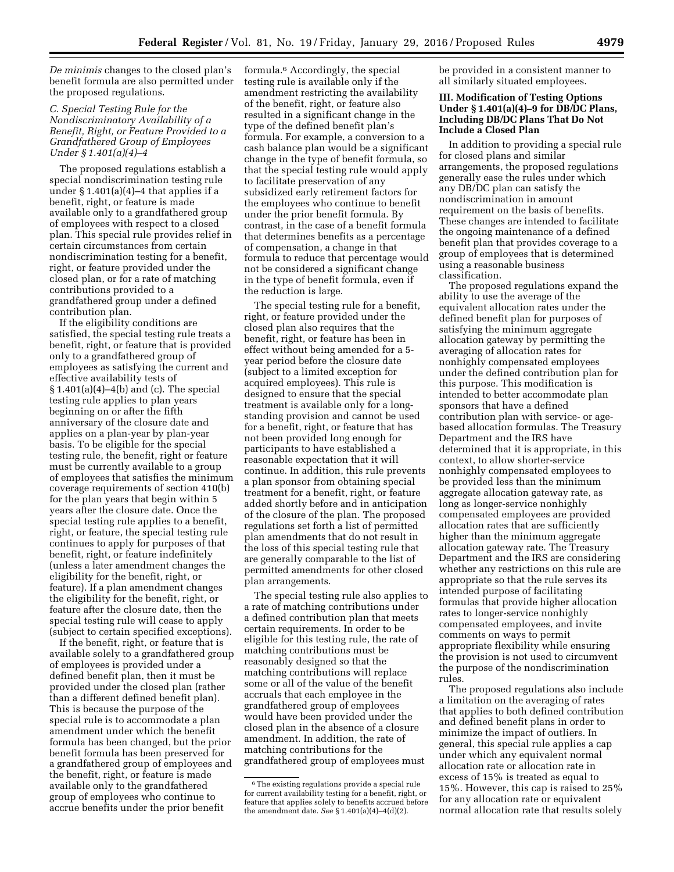*De minimis* changes to the closed plan's benefit formula are also permitted under the proposed regulations.

## *C. Special Testing Rule for the Nondiscriminatory Availability of a Benefit, Right, or Feature Provided to a Grandfathered Group of Employees Under § 1.401(a)(4)–4*

The proposed regulations establish a special nondiscrimination testing rule under  $\S 1.401(a)(4)$ –4 that applies if a benefit, right, or feature is made available only to a grandfathered group of employees with respect to a closed plan. This special rule provides relief in certain circumstances from certain nondiscrimination testing for a benefit, right, or feature provided under the closed plan, or for a rate of matching contributions provided to a grandfathered group under a defined contribution plan.

If the eligibility conditions are satisfied, the special testing rule treats a benefit, right, or feature that is provided only to a grandfathered group of employees as satisfying the current and effective availability tests of § 1.401(a)(4)–4(b) and (c). The special testing rule applies to plan years beginning on or after the fifth anniversary of the closure date and applies on a plan-year by plan-year basis. To be eligible for the special testing rule, the benefit, right or feature must be currently available to a group of employees that satisfies the minimum coverage requirements of section 410(b) for the plan years that begin within 5 years after the closure date. Once the special testing rule applies to a benefit, right, or feature, the special testing rule continues to apply for purposes of that benefit, right, or feature indefinitely (unless a later amendment changes the eligibility for the benefit, right, or feature). If a plan amendment changes the eligibility for the benefit, right, or feature after the closure date, then the special testing rule will cease to apply (subject to certain specified exceptions).

If the benefit, right, or feature that is available solely to a grandfathered group of employees is provided under a defined benefit plan, then it must be provided under the closed plan (rather than a different defined benefit plan). This is because the purpose of the special rule is to accommodate a plan amendment under which the benefit formula has been changed, but the prior benefit formula has been preserved for a grandfathered group of employees and the benefit, right, or feature is made available only to the grandfathered group of employees who continue to accrue benefits under the prior benefit

formula.6 Accordingly, the special testing rule is available only if the amendment restricting the availability of the benefit, right, or feature also resulted in a significant change in the type of the defined benefit plan's formula. For example, a conversion to a cash balance plan would be a significant change in the type of benefit formula, so that the special testing rule would apply to facilitate preservation of any subsidized early retirement factors for the employees who continue to benefit under the prior benefit formula. By contrast, in the case of a benefit formula that determines benefits as a percentage of compensation, a change in that formula to reduce that percentage would not be considered a significant change in the type of benefit formula, even if the reduction is large.

The special testing rule for a benefit, right, or feature provided under the closed plan also requires that the benefit, right, or feature has been in effect without being amended for a 5 year period before the closure date (subject to a limited exception for acquired employees). This rule is designed to ensure that the special treatment is available only for a longstanding provision and cannot be used for a benefit, right, or feature that has not been provided long enough for participants to have established a reasonable expectation that it will continue. In addition, this rule prevents a plan sponsor from obtaining special treatment for a benefit, right, or feature added shortly before and in anticipation of the closure of the plan. The proposed regulations set forth a list of permitted plan amendments that do not result in the loss of this special testing rule that are generally comparable to the list of permitted amendments for other closed plan arrangements.

The special testing rule also applies to a rate of matching contributions under a defined contribution plan that meets certain requirements. In order to be eligible for this testing rule, the rate of matching contributions must be reasonably designed so that the matching contributions will replace some or all of the value of the benefit accruals that each employee in the grandfathered group of employees would have been provided under the closed plan in the absence of a closure amendment. In addition, the rate of matching contributions for the grandfathered group of employees must

be provided in a consistent manner to all similarly situated employees.

## **III. Modification of Testing Options Under § 1.401(a)(4)–9 for DB/DC Plans, Including DB/DC Plans That Do Not Include a Closed Plan**

In addition to providing a special rule for closed plans and similar arrangements, the proposed regulations generally ease the rules under which any DB/DC plan can satisfy the nondiscrimination in amount requirement on the basis of benefits. These changes are intended to facilitate the ongoing maintenance of a defined benefit plan that provides coverage to a group of employees that is determined using a reasonable business classification.

The proposed regulations expand the ability to use the average of the equivalent allocation rates under the defined benefit plan for purposes of satisfying the minimum aggregate allocation gateway by permitting the averaging of allocation rates for nonhighly compensated employees under the defined contribution plan for this purpose. This modification is intended to better accommodate plan sponsors that have a defined contribution plan with service- or agebased allocation formulas. The Treasury Department and the IRS have determined that it is appropriate, in this context, to allow shorter-service nonhighly compensated employees to be provided less than the minimum aggregate allocation gateway rate, as long as longer-service nonhighly compensated employees are provided allocation rates that are sufficiently higher than the minimum aggregate allocation gateway rate. The Treasury Department and the IRS are considering whether any restrictions on this rule are appropriate so that the rule serves its intended purpose of facilitating formulas that provide higher allocation rates to longer-service nonhighly compensated employees, and invite comments on ways to permit appropriate flexibility while ensuring the provision is not used to circumvent the purpose of the nondiscrimination rules.

The proposed regulations also include a limitation on the averaging of rates that applies to both defined contribution and defined benefit plans in order to minimize the impact of outliers. In general, this special rule applies a cap under which any equivalent normal allocation rate or allocation rate in excess of 15% is treated as equal to 15%. However, this cap is raised to 25% for any allocation rate or equivalent normal allocation rate that results solely

<sup>6</sup>The existing regulations provide a special rule for current availability testing for a benefit, right, or feature that applies solely to benefits accrued before the amendment date. *See* § 1.401(a)(4)–4(d)(2).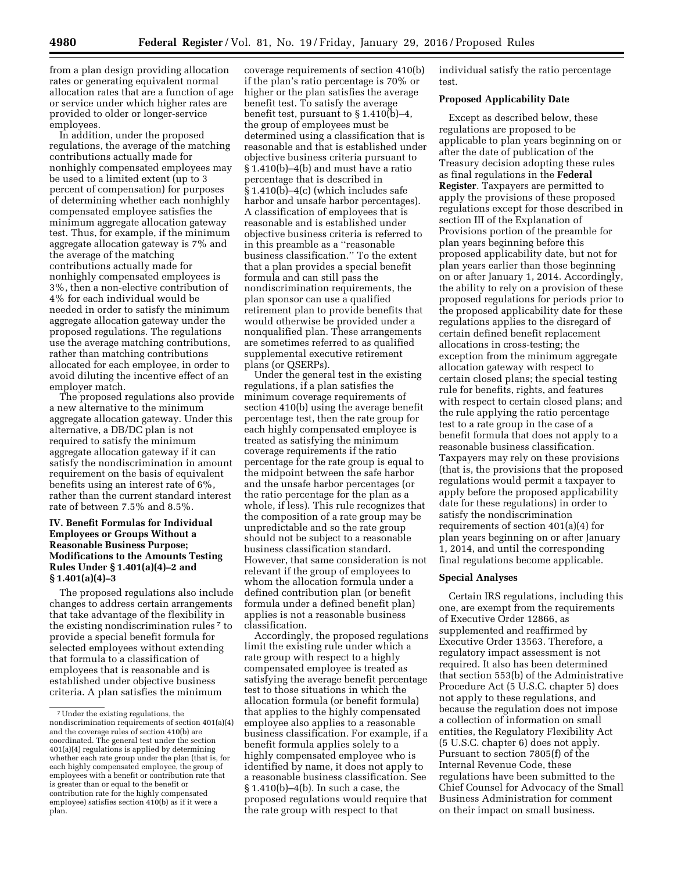from a plan design providing allocation rates or generating equivalent normal allocation rates that are a function of age or service under which higher rates are provided to older or longer-service employees.

In addition, under the proposed regulations, the average of the matching contributions actually made for nonhighly compensated employees may be used to a limited extent (up to 3 percent of compensation) for purposes of determining whether each nonhighly compensated employee satisfies the minimum aggregate allocation gateway test. Thus, for example, if the minimum aggregate allocation gateway is 7% and the average of the matching contributions actually made for nonhighly compensated employees is 3%, then a non-elective contribution of 4% for each individual would be needed in order to satisfy the minimum aggregate allocation gateway under the proposed regulations. The regulations use the average matching contributions, rather than matching contributions allocated for each employee, in order to avoid diluting the incentive effect of an employer match.

The proposed regulations also provide a new alternative to the minimum aggregate allocation gateway. Under this alternative, a DB/DC plan is not required to satisfy the minimum aggregate allocation gateway if it can satisfy the nondiscrimination in amount requirement on the basis of equivalent benefits using an interest rate of 6%, rather than the current standard interest rate of between 7.5% and 8.5%.

## **IV. Benefit Formulas for Individual Employees or Groups Without a Reasonable Business Purpose; Modifications to the Amounts Testing Rules Under § 1.401(a)(4)–2 and § 1.401(a)(4)–3**

The proposed regulations also include changes to address certain arrangements that take advantage of the flexibility in the existing nondiscrimination rules 7 to provide a special benefit formula for selected employees without extending that formula to a classification of employees that is reasonable and is established under objective business criteria. A plan satisfies the minimum

coverage requirements of section 410(b) if the plan's ratio percentage is 70% or higher or the plan satisfies the average benefit test. To satisfy the average benefit test, pursuant to § 1.410(b)–4, the group of employees must be determined using a classification that is reasonable and that is established under objective business criteria pursuant to § 1.410(b)–4(b) and must have a ratio percentage that is described in § 1.410(b)–4(c) (which includes safe harbor and unsafe harbor percentages). A classification of employees that is reasonable and is established under objective business criteria is referred to in this preamble as a ''reasonable business classification.'' To the extent that a plan provides a special benefit formula and can still pass the nondiscrimination requirements, the plan sponsor can use a qualified retirement plan to provide benefits that would otherwise be provided under a nonqualified plan. These arrangements are sometimes referred to as qualified supplemental executive retirement plans (or QSERPs).

Under the general test in the existing regulations, if a plan satisfies the minimum coverage requirements of section 410(b) using the average benefit percentage test, then the rate group for each highly compensated employee is treated as satisfying the minimum coverage requirements if the ratio percentage for the rate group is equal to the midpoint between the safe harbor and the unsafe harbor percentages (or the ratio percentage for the plan as a whole, if less). This rule recognizes that the composition of a rate group may be unpredictable and so the rate group should not be subject to a reasonable business classification standard. However, that same consideration is not relevant if the group of employees to whom the allocation formula under a defined contribution plan (or benefit formula under a defined benefit plan) applies is not a reasonable business classification.

Accordingly, the proposed regulations limit the existing rule under which a rate group with respect to a highly compensated employee is treated as satisfying the average benefit percentage test to those situations in which the allocation formula (or benefit formula) that applies to the highly compensated employee also applies to a reasonable business classification. For example, if a benefit formula applies solely to a highly compensated employee who is identified by name, it does not apply to a reasonable business classification. See § 1.410(b)–4(b). In such a case, the proposed regulations would require that the rate group with respect to that

individual satisfy the ratio percentage test.

### **Proposed Applicability Date**

Except as described below, these regulations are proposed to be applicable to plan years beginning on or after the date of publication of the Treasury decision adopting these rules as final regulations in the **Federal Register**. Taxpayers are permitted to apply the provisions of these proposed regulations except for those described in section III of the Explanation of Provisions portion of the preamble for plan years beginning before this proposed applicability date, but not for plan years earlier than those beginning on or after January 1, 2014. Accordingly, the ability to rely on a provision of these proposed regulations for periods prior to the proposed applicability date for these regulations applies to the disregard of certain defined benefit replacement allocations in cross-testing; the exception from the minimum aggregate allocation gateway with respect to certain closed plans; the special testing rule for benefits, rights, and features with respect to certain closed plans; and the rule applying the ratio percentage test to a rate group in the case of a benefit formula that does not apply to a reasonable business classification. Taxpayers may rely on these provisions (that is, the provisions that the proposed regulations would permit a taxpayer to apply before the proposed applicability date for these regulations) in order to satisfy the nondiscrimination requirements of section 401(a)(4) for plan years beginning on or after January 1, 2014, and until the corresponding final regulations become applicable.

#### **Special Analyses**

Certain IRS regulations, including this one, are exempt from the requirements of Executive Order 12866, as supplemented and reaffirmed by Executive Order 13563. Therefore, a regulatory impact assessment is not required. It also has been determined that section 553(b) of the Administrative Procedure Act (5 U.S.C. chapter 5) does not apply to these regulations, and because the regulation does not impose a collection of information on small entities, the Regulatory Flexibility Act (5 U.S.C. chapter 6) does not apply. Pursuant to section 7805(f) of the Internal Revenue Code, these regulations have been submitted to the Chief Counsel for Advocacy of the Small Business Administration for comment on their impact on small business.

<sup>7</sup>Under the existing regulations, the nondiscrimination requirements of section 401(a)(4) and the coverage rules of section 410(b) are coordinated. The general test under the section 401(a)(4) regulations is applied by determining whether each rate group under the plan (that is, for each highly compensated employee, the group of employees with a benefit or contribution rate that is greater than or equal to the benefit or contribution rate for the highly compensated employee) satisfies section 410(b) as if it were a plan.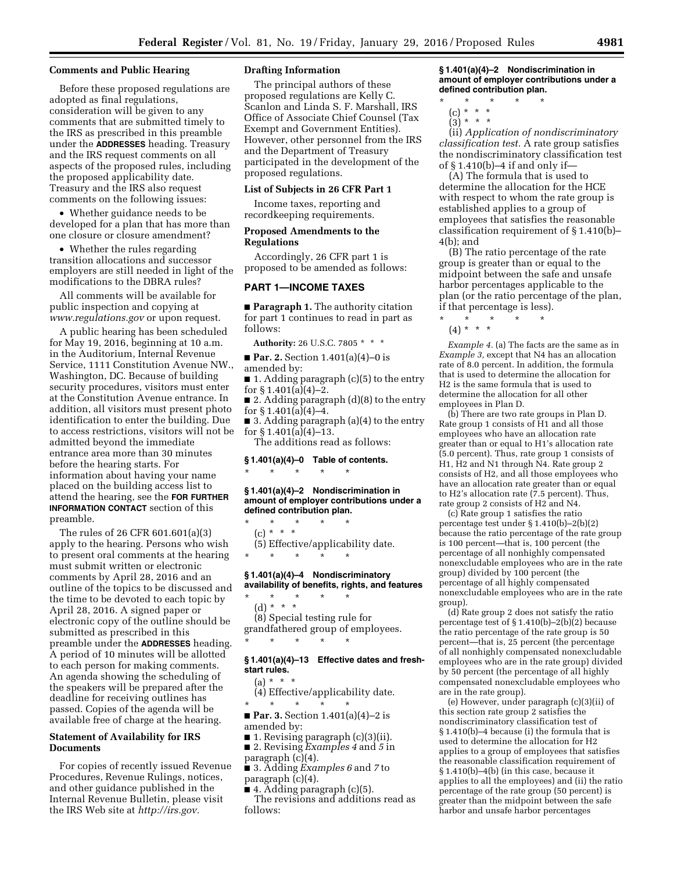#### **Comments and Public Hearing**

Before these proposed regulations are adopted as final regulations, consideration will be given to any comments that are submitted timely to the IRS as prescribed in this preamble under the **ADDRESSES** heading. Treasury and the IRS request comments on all aspects of the proposed rules, including the proposed applicability date. Treasury and the IRS also request comments on the following issues:

• Whether guidance needs to be developed for a plan that has more than one closure or closure amendment?

• Whether the rules regarding transition allocations and successor employers are still needed in light of the modifications to the DBRA rules?

All comments will be available for public inspection and copying at *[www.regulations.gov](http://www.regulations.gov)* or upon request.

A public hearing has been scheduled for May 19, 2016, beginning at 10 a.m. in the Auditorium, Internal Revenue Service, 1111 Constitution Avenue NW., Washington, DC. Because of building security procedures, visitors must enter at the Constitution Avenue entrance. In addition, all visitors must present photo identification to enter the building. Due to access restrictions, visitors will not be admitted beyond the immediate entrance area more than 30 minutes before the hearing starts. For information about having your name placed on the building access list to attend the hearing, see the **FOR FURTHER INFORMATION CONTACT** section of this preamble.

The rules of 26 CFR 601.601(a)(3) apply to the hearing. Persons who wish to present oral comments at the hearing must submit written or electronic comments by April 28, 2016 and an outline of the topics to be discussed and the time to be devoted to each topic by April 28, 2016. A signed paper or electronic copy of the outline should be submitted as prescribed in this preamble under the **ADDRESSES** heading. A period of 10 minutes will be allotted to each person for making comments. An agenda showing the scheduling of the speakers will be prepared after the deadline for receiving outlines has passed. Copies of the agenda will be available free of charge at the hearing.

## **Statement of Availability for IRS Documents**

For copies of recently issued Revenue Procedures, Revenue Rulings, notices, and other guidance published in the Internal Revenue Bulletin, please visit the IRS Web site at *[http://irs.gov.](http://irs.gov)* 

## **Drafting Information**

The principal authors of these proposed regulations are Kelly C. Scanlon and Linda S. F. Marshall, IRS Office of Associate Chief Counsel (Tax Exempt and Government Entities). However, other personnel from the IRS and the Department of Treasury participated in the development of the proposed regulations.

### **List of Subjects in 26 CFR Part 1**

Income taxes, reporting and recordkeeping requirements.

#### **Proposed Amendments to the Regulations**

Accordingly, 26 CFR part 1 is proposed to be amended as follows:

#### **PART 1—INCOME TAXES**

■ **Paragraph 1.** The authority citation for part 1 continues to read in part as follows:

**Authority:** 26 U.S.C. 7805 \* \* \*

■ **Par. 2.** Section 1.401(a)(4)–0 is amended by:

■ 1. Adding paragraph (c)(5) to the entry for § 1.401(a)(4)–2.

■ 2. Adding paragraph (d)(8) to the entry for  $\S 1.401(a)(4)-4$ .

■ 3. Adding paragraph (a)(4) to the entry for  $\S 1.401(a)(4) - 13$ .

The additions read as follows:

#### **§ 1.401(a)(4)–0 Table of contents.**  \* \* \* \* \*

#### **§ 1.401(a)(4)–2 Nondiscrimination in amount of employer contributions under a defined contribution plan.**

\* \* \* \* \* (c) \* \* \* (5) Effective/applicability date. \* \* \* \* \*

## **§ 1.401(a)(4)–4 Nondiscriminatory**

**availability of benefits, rights, and features**  \* \* \* \* \* (d)  $* * * *$ (8) Special testing rule for grandfathered group of employees. \* \* \* \* \*

#### **§ 1.401(a)(4)–13 Effective dates and freshstart rules.**

 $(a) * * * *$ 

(4) Effective/applicability date. \* \* \* \* \*

■ **Par. 3.** Section 1.401(a)(4)–2 is amended by:

- 1. Revising paragraph (c)(3)(ii). ■ 2. Revising *Examples 4* and *5* in
- paragraph (c)(4).
- 3. Adding *Examples 6* and *7* to paragraph (c)(4).

■ 4. Adding paragraph (c)(5).

The revisions and additions read as follows:

#### **§ 1.401(a)(4)–2 Nondiscrimination in amount of employer contributions under a defined contribution plan.**

- \* \* \* \* \*
	- (c) \* \* \*
	- $\binom{5}{3}$  \* \* \*

(ii) *Application of nondiscriminatory classification test.* A rate group satisfies the nondiscriminatory classification test of § 1.410(b)–4 if and only if—

(A) The formula that is used to determine the allocation for the HCE with respect to whom the rate group is established applies to a group of employees that satisfies the reasonable classification requirement of § 1.410(b)– 4(b); and

(B) The ratio percentage of the rate group is greater than or equal to the midpoint between the safe and unsafe harbor percentages applicable to the plan (or the ratio percentage of the plan, if that percentage is less). \* \* \* \* \*

 $(4) * * * *$ 

*Example 4.* (a) The facts are the same as in *Example 3,* except that N4 has an allocation rate of 8.0 percent. In addition, the formula that is used to determine the allocation for H2 is the same formula that is used to determine the allocation for all other employees in Plan D.

(b) There are two rate groups in Plan D. Rate group 1 consists of H1 and all those employees who have an allocation rate greater than or equal to H1's allocation rate (5.0 percent). Thus, rate group 1 consists of H1, H2 and N1 through N4. Rate group 2 consists of H2, and all those employees who have an allocation rate greater than or equal to H2's allocation rate (7.5 percent). Thus, rate group 2 consists of H2 and N4.

(c) Rate group 1 satisfies the ratio percentage test under § 1.410(b)–2(b)(2) because the ratio percentage of the rate group is 100 percent—that is, 100 percent (the percentage of all nonhighly compensated nonexcludable employees who are in the rate group) divided by 100 percent (the percentage of all highly compensated nonexcludable employees who are in the rate group).

(d) Rate group 2 does not satisfy the ratio percentage test of § 1.410(b)–2(b)(2) because the ratio percentage of the rate group is 50 percent—that is, 25 percent (the percentage of all nonhighly compensated nonexcludable employees who are in the rate group) divided by 50 percent (the percentage of all highly compensated nonexcludable employees who are in the rate group).

(e) However, under paragraph (c)(3)(ii) of this section rate group 2 satisfies the nondiscriminatory classification test of § 1.410(b)–4 because (i) the formula that is used to determine the allocation for H2 applies to a group of employees that satisfies the reasonable classification requirement of § 1.410(b)–4(b) (in this case, because it applies to all the employees) and (ii) the ratio percentage of the rate group (50 percent) is greater than the midpoint between the safe harbor and unsafe harbor percentages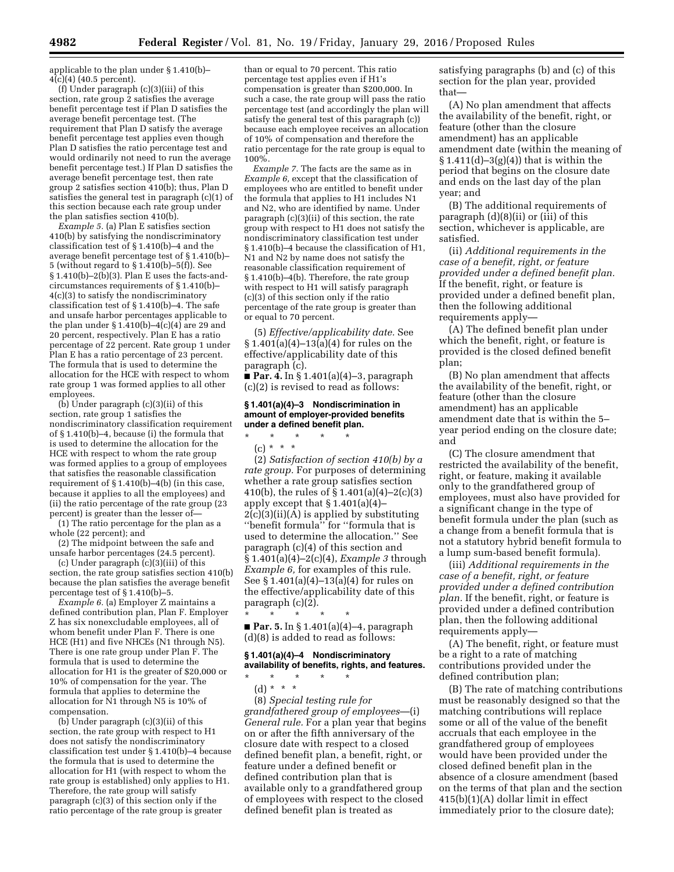applicable to the plan under § 1.410(b)– 4(c)(4) (40.5 percent).

(f) Under paragraph (c)(3)(iii) of this section, rate group 2 satisfies the average benefit percentage test if Plan D satisfies the average benefit percentage test. (The requirement that Plan D satisfy the average benefit percentage test applies even though Plan D satisfies the ratio percentage test and would ordinarily not need to run the average benefit percentage test.) If Plan D satisfies the average benefit percentage test, then rate group 2 satisfies section 410(b); thus, Plan D satisfies the general test in paragraph (c)(1) of this section because each rate group under the plan satisfies section 410(b).

*Example 5.* (a) Plan E satisfies section 410(b) by satisfying the nondiscriminatory classification test of § 1.410(b)–4 and the average benefit percentage test of § 1.410(b)– 5 (without regard to §  $1.\overline{4}10(b)-5(f)$ ). See § 1.410(b)–2(b)(3). Plan E uses the facts-andcircumstances requirements of § 1.410(b)– 4(c)(3) to satisfy the nondiscriminatory classification test of § 1.410(b)–4. The safe and unsafe harbor percentages applicable to the plan under § 1.410(b)–4(c)(4) are 29 and 20 percent, respectively. Plan E has a ratio percentage of 22 percent. Rate group 1 under Plan E has a ratio percentage of 23 percent. The formula that is used to determine the allocation for the HCE with respect to whom rate group 1 was formed applies to all other employees.

 $(\hat{b})$  Under paragraph  $(c)(3)(ii)$  of this section, rate group 1 satisfies the nondiscriminatory classification requirement of § 1.410(b)–4, because (i) the formula that is used to determine the allocation for the HCE with respect to whom the rate group was formed applies to a group of employees that satisfies the reasonable classification requirement of § 1.410(b)–4(b) (in this case, because it applies to all the employees) and (ii) the ratio percentage of the rate group (23 percent) is greater than the lesser of—

(1) The ratio percentage for the plan as a whole (22 percent); and

(2) The midpoint between the safe and unsafe harbor percentages (24.5 percent).

(c) Under paragraph (c)(3)(iii) of this section, the rate group satisfies section 410(b) because the plan satisfies the average benefit percentage test of § 1.410(b)–5.

*Example 6.* (a) Employer Z maintains a defined contribution plan, Plan F. Employer Z has six nonexcludable employees, all of whom benefit under Plan F. There is one HCE (H1) and five NHCEs (N1 through N5). There is one rate group under Plan F. The formula that is used to determine the allocation for H1 is the greater of \$20,000 or 10% of compensation for the year. The formula that applies to determine the allocation for N1 through N5 is 10% of compensation.

(b) Under paragraph (c)(3)(ii) of this section, the rate group with respect to H1 does not satisfy the nondiscriminatory classification test under § 1.410(b)–4 because the formula that is used to determine the allocation for H1 (with respect to whom the rate group is established) only applies to H1. Therefore, the rate group will satisfy paragraph (c)(3) of this section only if the ratio percentage of the rate group is greater

than or equal to 70 percent. This ratio percentage test applies even if H1's compensation is greater than \$200,000. In such a case, the rate group will pass the ratio percentage test (and accordingly the plan will satisfy the general test of this paragraph (c)) because each employee receives an allocation of 10% of compensation and therefore the ratio percentage for the rate group is equal to 100%.

*Example 7.* The facts are the same as in *Example 6,* except that the classification of employees who are entitled to benefit under the formula that applies to H1 includes N1 and N2, who are identified by name. Under paragraph (c)(3)(ii) of this section, the rate group with respect to H1 does not satisfy the nondiscriminatory classification test under § 1.410(b)–4 because the classification of H1, N1 and N2 by name does not satisfy the reasonable classification requirement of § 1.410(b)–4(b). Therefore, the rate group with respect to H<sub>1</sub> will satisfy paragraph (c)(3) of this section only if the ratio percentage of the rate group is greater than or equal to 70 percent.

(5) *Effective/applicability date.* See  $§ 1.401(a)(4) - 13(a)(4)$  for rules on the effective/applicability date of this paragraph (c).

■ **Par. 4.** In § 1.401(a)(4)–3, paragraph (c)(2) is revised to read as follows:

## **§ 1.401(a)(4)–3 Nondiscrimination in amount of employer-provided benefits under a defined benefit plan.**

\* \* \* \* \* (c) \* \* \*

(2) *Satisfaction of section 410(b) by a rate group.* For purposes of determining whether a rate group satisfies section 410(b), the rules of § 1.401(a)(4)–2(c)(3) apply except that § 1.401(a)(4)–  $2(c)(3)(ii)(A)$  is applied by substituting ''benefit formula'' for ''formula that is used to determine the allocation.'' See paragraph (c)(4) of this section and § 1.401(a)(4)–2(c)(4), *Example 3* through *Example 6,* for examples of this rule. See § 1.401(a)(4)–13(a)(4) for rules on the effective/applicability date of this paragraph (c)(2).

\* \* \* \* \* ■ **Par. 5.** In § 1.401(a)(4)–4, paragraph (d)(8) is added to read as follows:

## **§ 1.401(a)(4)–4 Nondiscriminatory availability of benefits, rights, and features.**

\* \* \* \* \* (d) \* \* \*

(8) *Special testing rule for grandfathered group of employees*—(i) *General rule.* For a plan year that begins on or after the fifth anniversary of the closure date with respect to a closed defined benefit plan, a benefit, right, or feature under a defined benefit or defined contribution plan that is available only to a grandfathered group of employees with respect to the closed defined benefit plan is treated as

satisfying paragraphs (b) and (c) of this section for the plan year, provided that—

(A) No plan amendment that affects the availability of the benefit, right, or feature (other than the closure amendment) has an applicable amendment date (within the meaning of  $$1.411(d)-3(g)(4)]$  that is within the period that begins on the closure date and ends on the last day of the plan year; and

(B) The additional requirements of paragraph (d)(8)(ii) or (iii) of this section, whichever is applicable, are satisfied.

(ii) *Additional requirements in the case of a benefit, right, or feature provided under a defined benefit plan.*  If the benefit, right, or feature is provided under a defined benefit plan, then the following additional requirements apply—

(A) The defined benefit plan under which the benefit, right, or feature is provided is the closed defined benefit plan;

(B) No plan amendment that affects the availability of the benefit, right, or feature (other than the closure amendment) has an applicable amendment date that is within the 5– year period ending on the closure date; and

(C) The closure amendment that restricted the availability of the benefit, right, or feature, making it available only to the grandfathered group of employees, must also have provided for a significant change in the type of benefit formula under the plan (such as a change from a benefit formula that is not a statutory hybrid benefit formula to a lump sum-based benefit formula).

(iii) *Additional requirements in the case of a benefit, right, or feature provided under a defined contribution plan.* If the benefit, right, or feature is provided under a defined contribution plan, then the following additional requirements apply—

(A) The benefit, right, or feature must be a right to a rate of matching contributions provided under the defined contribution plan;

(B) The rate of matching contributions must be reasonably designed so that the matching contributions will replace some or all of the value of the benefit accruals that each employee in the grandfathered group of employees would have been provided under the closed defined benefit plan in the absence of a closure amendment (based on the terms of that plan and the section 415(b)(1)(A) dollar limit in effect immediately prior to the closure date);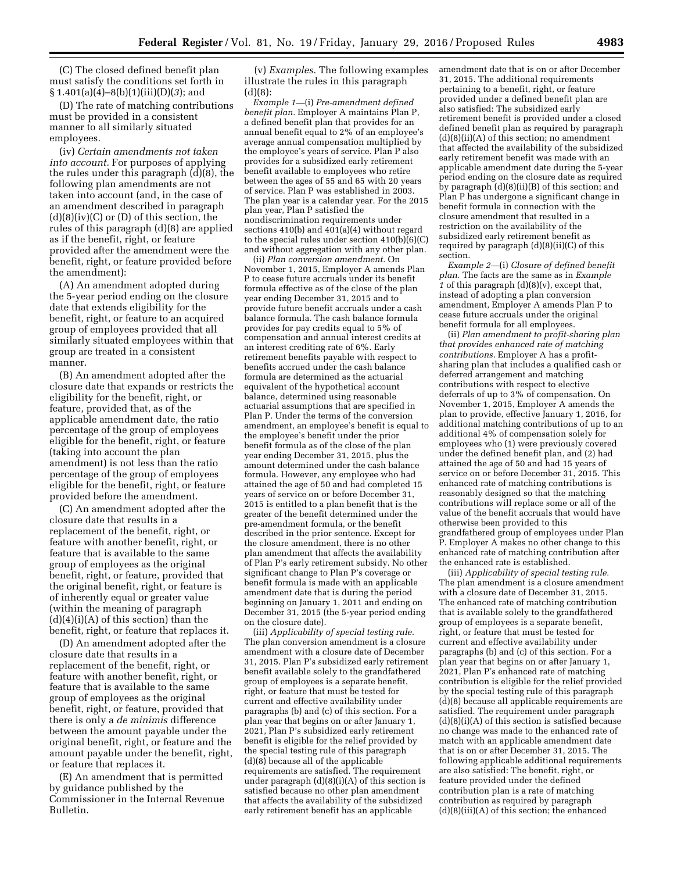(C) The closed defined benefit plan must satisfy the conditions set forth in § 1.401(a)(4)–8(b)(1)(iii)(D)(*3*); and

(D) The rate of matching contributions must be provided in a consistent manner to all similarly situated employees.

(iv) *Certain amendments not taken into account.* For purposes of applying the rules under this paragraph (d)(8), the following plan amendments are not taken into account (and, in the case of an amendment described in paragraph  $(d)(8)(iv)(C)$  or  $(D)$  of this section, the rules of this paragraph (d)(8) are applied as if the benefit, right, or feature provided after the amendment were the benefit, right, or feature provided before the amendment):

(A) An amendment adopted during the 5-year period ending on the closure date that extends eligibility for the benefit, right, or feature to an acquired group of employees provided that all similarly situated employees within that group are treated in a consistent manner.

(B) An amendment adopted after the closure date that expands or restricts the eligibility for the benefit, right, or feature, provided that, as of the applicable amendment date, the ratio percentage of the group of employees eligible for the benefit, right, or feature (taking into account the plan amendment) is not less than the ratio percentage of the group of employees eligible for the benefit, right, or feature provided before the amendment.

(C) An amendment adopted after the closure date that results in a replacement of the benefit, right, or feature with another benefit, right, or feature that is available to the same group of employees as the original benefit, right, or feature, provided that the original benefit, right, or feature is of inherently equal or greater value (within the meaning of paragraph  $(d)(4)(i)(A)$  of this section) than the benefit, right, or feature that replaces it.

(D) An amendment adopted after the closure date that results in a replacement of the benefit, right, or feature with another benefit, right, or feature that is available to the same group of employees as the original benefit, right, or feature, provided that there is only a *de minimis* difference between the amount payable under the original benefit, right, or feature and the amount payable under the benefit, right, or feature that replaces it.

(E) An amendment that is permitted by guidance published by the Commissioner in the Internal Revenue Bulletin.

(v) *Examples.* The following examples illustrate the rules in this paragraph (d)(8):

*Example 1—*(i) *Pre-amendment defined benefit plan.* Employer A maintains Plan P, a defined benefit plan that provides for an annual benefit equal to 2% of an employee's average annual compensation multiplied by the employee's years of service. Plan P also provides for a subsidized early retirement benefit available to employees who retire between the ages of 55 and 65 with 20 years of service. Plan P was established in 2003. The plan year is a calendar year. For the 2015 plan year, Plan P satisfied the nondiscrimination requirements under sections 410(b) and  $401(a)(4)$  without regard to the special rules under section 410(b)(6)(C) and without aggregation with any other plan.

(ii) *Plan conversion amendment.* On November 1, 2015, Employer A amends Plan P to cease future accruals under its benefit formula effective as of the close of the plan year ending December 31, 2015 and to provide future benefit accruals under a cash balance formula. The cash balance formula provides for pay credits equal to 5% of compensation and annual interest credits at an interest crediting rate of 6%. Early retirement benefits payable with respect to benefits accrued under the cash balance formula are determined as the actuarial equivalent of the hypothetical account balance, determined using reasonable actuarial assumptions that are specified in Plan P. Under the terms of the conversion amendment, an employee's benefit is equal to the employee's benefit under the prior benefit formula as of the close of the plan year ending December 31, 2015, plus the amount determined under the cash balance formula. However, any employee who had attained the age of 50 and had completed 15 years of service on or before December 31, 2015 is entitled to a plan benefit that is the greater of the benefit determined under the pre-amendment formula, or the benefit described in the prior sentence. Except for the closure amendment, there is no other plan amendment that affects the availability of Plan P's early retirement subsidy. No other significant change to Plan P's coverage or benefit formula is made with an applicable amendment date that is during the period beginning on January 1, 2011 and ending on December 31, 2015 (the 5-year period ending on the closure date).

(iii) *Applicability of special testing rule.*  The plan conversion amendment is a closure amendment with a closure date of December 31, 2015. Plan P's subsidized early retirement benefit available solely to the grandfathered group of employees is a separate benefit, right, or feature that must be tested for current and effective availability under paragraphs (b) and (c) of this section. For a plan year that begins on or after January 1, 2021, Plan P's subsidized early retirement benefit is eligible for the relief provided by the special testing rule of this paragraph  $(d)(8)$  because all of the applicable requirements are satisfied. The requirement under paragraph  $(d)(8)(i)(A)$  of this section is satisfied because no other plan amendment that affects the availability of the subsidized early retirement benefit has an applicable

amendment date that is on or after December 31, 2015. The additional requirements pertaining to a benefit, right, or feature provided under a defined benefit plan are also satisfied: The subsidized early retirement benefit is provided under a closed defined benefit plan as required by paragraph  $(d)(8)(ii)(A)$  of this section; no amendment that affected the availability of the subsidized early retirement benefit was made with an applicable amendment date during the 5-year period ending on the closure date as required by paragraph  $(d)(8)(ii)(B)$  of this section; and Plan P has undergone a significant change in benefit formula in connection with the closure amendment that resulted in a restriction on the availability of the subsidized early retirement benefit as required by paragraph  $(d)(8)(ii)(C)$  of this section.

*Example 2—*(i) *Closure of defined benefit plan.* The facts are the same as in *Example*  1 of this paragraph  $(d)(8)(v)$ , except that, instead of adopting a plan conversion amendment, Employer A amends Plan P to cease future accruals under the original benefit formula for all employees.

(ii) *Plan amendment to profit-sharing plan that provides enhanced rate of matching contributions.* Employer A has a profitsharing plan that includes a qualified cash or deferred arrangement and matching contributions with respect to elective deferrals of up to 3% of compensation. On November 1, 2015, Employer A amends the plan to provide, effective January 1, 2016, for additional matching contributions of up to an additional 4% of compensation solely for employees who (1) were previously covered under the defined benefit plan, and (2) had attained the age of 50 and had 15 years of service on or before December 31, 2015. This enhanced rate of matching contributions is reasonably designed so that the matching contributions will replace some or all of the value of the benefit accruals that would have otherwise been provided to this grandfathered group of employees under Plan P. Employer A makes no other change to this enhanced rate of matching contribution after the enhanced rate is established.

(iii) *Applicability of special testing rule.*  The plan amendment is a closure amendment with a closure date of December 31, 2015. The enhanced rate of matching contribution that is available solely to the grandfathered group of employees is a separate benefit, right, or feature that must be tested for current and effective availability under paragraphs (b) and (c) of this section. For a plan year that begins on or after January 1, 2021, Plan P's enhanced rate of matching contribution is eligible for the relief provided by the special testing rule of this paragraph (d)(8) because all applicable requirements are satisfied. The requirement under paragraph  $(d)(8)(i)(A)$  of this section is satisfied because no change was made to the enhanced rate of match with an applicable amendment date that is on or after December 31, 2015. The following applicable additional requirements are also satisfied: The benefit, right, or feature provided under the defined contribution plan is a rate of matching contribution as required by paragraph (d)(8)(iii)(A) of this section; the enhanced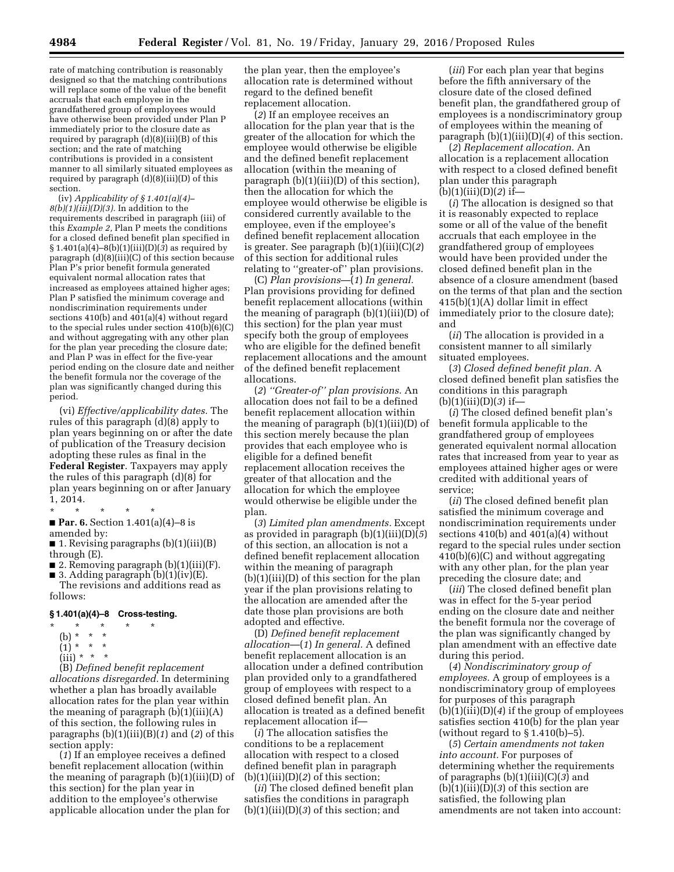rate of matching contribution is reasonably designed so that the matching contributions will replace some of the value of the benefit accruals that each employee in the grandfathered group of employees would have otherwise been provided under Plan P immediately prior to the closure date as required by paragraph (d)(8)(iii)(B) of this section; and the rate of matching contributions is provided in a consistent manner to all similarly situated employees as required by paragraph (d)(8)(iii)(D) of this section.

(iv) *Applicability of § 1.401(a)(4)– 8(b)(1)(iii)(D)(3).* In addition to the requirements described in paragraph (iii) of this *Example 2,* Plan P meets the conditions for a closed defined benefit plan specified in § 1.401(a)(4)–8(b)(1)(iii)(D)(*3*) as required by paragraph (d)(8)(iii)(C) of this section because Plan P's prior benefit formula generated equivalent normal allocation rates that increased as employees attained higher ages; Plan P satisfied the minimum coverage and nondiscrimination requirements under sections 410(b) and 401(a)(4) without regard to the special rules under section 410(b)(6)(C) and without aggregating with any other plan for the plan year preceding the closure date; and Plan P was in effect for the five-year period ending on the closure date and neither the benefit formula nor the coverage of the plan was significantly changed during this period.

(vi) *Effective/applicability dates.* The rules of this paragraph (d)(8) apply to plan years beginning on or after the date of publication of the Treasury decision adopting these rules as final in the **Federal Register**. Taxpayers may apply the rules of this paragraph (d)(8) for plan years beginning on or after January 1, 2014.

```
* * * * *
```
■ **Par. 6.** Section 1.401(a)(4)–8 is amended by:

■ 1. Revising paragraphs (b)(1)(iii)(B) through (E).

- 2. Removing paragraph  $(b)(1)(iii)(F)$ .
- 3. Adding paragraph  $(b)(1)(iv)(E)$ . The revisions and additions read as

follows:

## **§ 1.401(a)(4)–8 Cross-testing.**

- \* \* \* \* \*
- (b) \* \* \*
- $(1) * * * *$
- $(iii) * * * *$

(B) *Defined benefit replacement allocations disregarded.* In determining whether a plan has broadly available allocation rates for the plan year within the meaning of paragraph  $(b)(1)(iii)(A)$ of this section, the following rules in paragraphs (b)(1)(iii)(B)(*1*) and (*2*) of this section apply:

(*1*) If an employee receives a defined benefit replacement allocation (within the meaning of paragraph (b)(1)(iii)(D) of this section) for the plan year in addition to the employee's otherwise applicable allocation under the plan for

the plan year, then the employee's allocation rate is determined without regard to the defined benefit replacement allocation.

(*2*) If an employee receives an allocation for the plan year that is the greater of the allocation for which the employee would otherwise be eligible and the defined benefit replacement allocation (within the meaning of paragraph (b)(1)(iii)(D) of this section), then the allocation for which the employee would otherwise be eligible is considered currently available to the employee, even if the employee's defined benefit replacement allocation is greater. See paragraph (b)(1)(iii)(C)(*2*) of this section for additional rules relating to ''greater-of'' plan provisions.

(C) *Plan provisions*—(*1*) *In general.*  Plan provisions providing for defined benefit replacement allocations (within the meaning of paragraph (b)(1)(iii)(D) of this section) for the plan year must specify both the group of employees who are eligible for the defined benefit replacement allocations and the amount of the defined benefit replacement allocations.

(*2*) *''Greater-of'' plan provisions.* An allocation does not fail to be a defined benefit replacement allocation within the meaning of paragraph (b)(1)(iii)(D) of this section merely because the plan provides that each employee who is eligible for a defined benefit replacement allocation receives the greater of that allocation and the allocation for which the employee would otherwise be eligible under the plan.

(*3*) *Limited plan amendments.* Except as provided in paragraph (b)(1)(iii)(D)(*5*) of this section, an allocation is not a defined benefit replacement allocation within the meaning of paragraph (b)(1)(iii)(D) of this section for the plan year if the plan provisions relating to the allocation are amended after the date those plan provisions are both adopted and effective.

(D) *Defined benefit replacement allocation*—(*1*) *In general.* A defined benefit replacement allocation is an allocation under a defined contribution plan provided only to a grandfathered group of employees with respect to a closed defined benefit plan. An allocation is treated as a defined benefit replacement allocation if—

(*i*) The allocation satisfies the conditions to be a replacement allocation with respect to a closed defined benefit plan in paragraph  $(b)(1)(iii)(D)(2)$  of this section;

(*ii*) The closed defined benefit plan satisfies the conditions in paragraph (b)(1)(iii)(D)(*3*) of this section; and

(*iii*) For each plan year that begins before the fifth anniversary of the closure date of the closed defined benefit plan, the grandfathered group of employees is a nondiscriminatory group of employees within the meaning of paragraph (b)(1)(iii)(D)(*4*) of this section.

(*2*) *Replacement allocation.* An allocation is a replacement allocation with respect to a closed defined benefit plan under this paragraph (b)(1)(iii)(D)(*2*) if—

(*i*) The allocation is designed so that it is reasonably expected to replace some or all of the value of the benefit accruals that each employee in the grandfathered group of employees would have been provided under the closed defined benefit plan in the absence of a closure amendment (based on the terms of that plan and the section 415(b)(1)(A) dollar limit in effect immediately prior to the closure date); and

(*ii*) The allocation is provided in a consistent manner to all similarly situated employees.

(*3*) *Closed defined benefit plan.* A closed defined benefit plan satisfies the conditions in this paragraph (b)(1)(iii)(D)(*3*) if—

(*i*) The closed defined benefit plan's benefit formula applicable to the grandfathered group of employees generated equivalent normal allocation rates that increased from year to year as employees attained higher ages or were credited with additional years of service;

(*ii*) The closed defined benefit plan satisfied the minimum coverage and nondiscrimination requirements under sections 410(b) and 401(a)(4) without regard to the special rules under section 410(b)(6)(C) and without aggregating with any other plan, for the plan year preceding the closure date; and

(*iii*) The closed defined benefit plan was in effect for the 5-year period ending on the closure date and neither the benefit formula nor the coverage of the plan was significantly changed by plan amendment with an effective date during this period.

(*4*) *Nondiscriminatory group of employees.* A group of employees is a nondiscriminatory group of employees for purposes of this paragraph (b)(1)(iii)(D)(*4*) if the group of employees satisfies section 410(b) for the plan year (without regard to  $\S 1.410(b) - 5$ ).

(*5*) *Certain amendments not taken into account.* For purposes of determining whether the requirements of paragraphs (b)(1)(iii)(C)(*3*) and (b)(1)(iii)(D)(*3*) of this section are satisfied, the following plan amendments are not taken into account: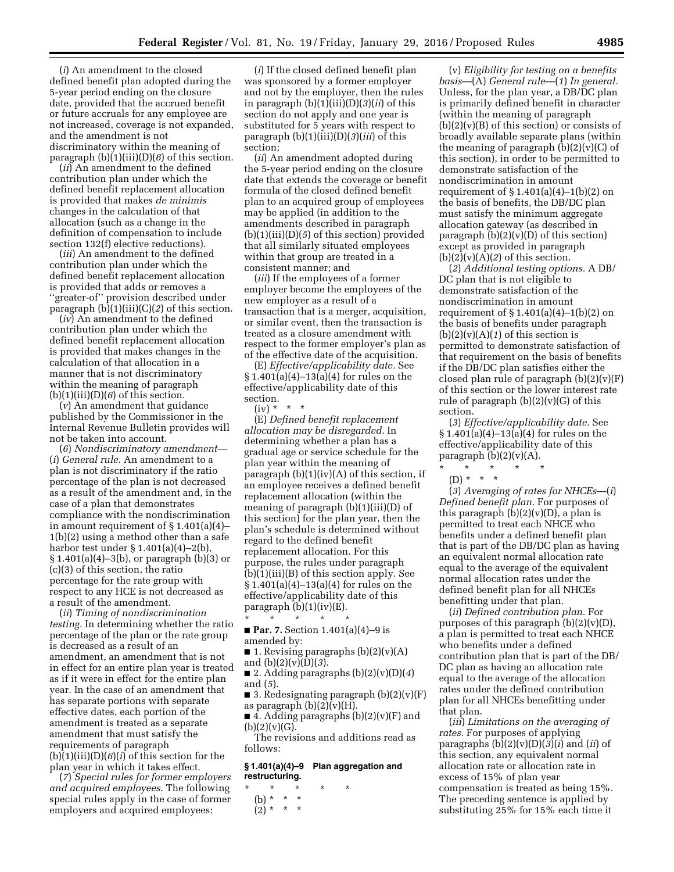(*i*) An amendment to the closed defined benefit plan adopted during the 5-year period ending on the closure date, provided that the accrued benefit or future accruals for any employee are not increased, coverage is not expanded, and the amendment is not discriminatory within the meaning of paragraph (b)(1)(iii)(D)(*6*) of this section.

(*ii*) An amendment to the defined contribution plan under which the defined benefit replacement allocation is provided that makes *de minimis*  changes in the calculation of that allocation (such as a change in the definition of compensation to include section 132(f) elective reductions).

(*iii*) An amendment to the defined contribution plan under which the defined benefit replacement allocation is provided that adds or removes a ''greater-of'' provision described under paragraph (b)(1)(iii)(C)(*2*) of this section.

(*iv*) An amendment to the defined contribution plan under which the defined benefit replacement allocation is provided that makes changes in the calculation of that allocation in a manner that is not discriminatory within the meaning of paragraph  $(b)(1)(iii)(D)(6)$  of this section.

(*v*) An amendment that guidance published by the Commissioner in the Internal Revenue Bulletin provides will not be taken into account.

(*6*) *Nondiscriminatory amendment*— (*i*) *General rule.* An amendment to a plan is not discriminatory if the ratio percentage of the plan is not decreased as a result of the amendment and, in the case of a plan that demonstrates compliance with the nondiscrimination in amount requirement of  $\S 1.401(a)(4)$ – 1(b)(2) using a method other than a safe harbor test under § 1.401(a)(4)–2(b), § 1.401(a)(4)–3(b), or paragraph (b)(3) or (c)(3) of this section, the ratio percentage for the rate group with respect to any HCE is not decreased as a result of the amendment.

(*ii*) *Timing of nondiscrimination testing.* In determining whether the ratio percentage of the plan or the rate group is decreased as a result of an amendment, an amendment that is not in effect for an entire plan year is treated as if it were in effect for the entire plan year. In the case of an amendment that has separate portions with separate effective dates, each portion of the amendment is treated as a separate amendment that must satisfy the requirements of paragraph  $(b)(1)(iii)(D)(6)(i)$  of this section for the plan year in which it takes effect.

(*7*) *Special rules for former employers and acquired employees.* The following special rules apply in the case of former employers and acquired employees:

(*i*) If the closed defined benefit plan was sponsored by a former employer and not by the employer, then the rules in paragraph (b)(1)(iii)(D)(*3*)(*ii*) of this section do not apply and one year is substituted for 5 years with respect to paragraph (b)(1)(iii)(D)(*3*)(*iii*) of this section;

(*ii*) An amendment adopted during the 5-year period ending on the closure date that extends the coverage or benefit formula of the closed defined benefit plan to an acquired group of employees may be applied (in addition to the amendments described in paragraph (b)(1)(iii)(D)(*5*) of this section) provided that all similarly situated employees within that group are treated in a consistent manner; and

(*iii*) If the employees of a former employer become the employees of the new employer as a result of a transaction that is a merger, acquisition, or similar event, then the transaction is treated as a closure amendment with respect to the former employer's plan as of the effective date of the acquisition.

(E) *Effective/applicability date.* See § 1.401(a)(4)–13(a)(4) for rules on the effective/applicability date of this section.

(iv) \* \* \*

(E) *Defined benefit replacement allocation may be disregarded.* In determining whether a plan has a gradual age or service schedule for the plan year within the meaning of paragraph  $(b)(1)(iv)(A)$  of this section, if an employee receives a defined benefit replacement allocation (within the meaning of paragraph (b)(1)(iii)(D) of this section) for the plan year, then the plan's schedule is determined without regard to the defined benefit replacement allocation. For this purpose, the rules under paragraph (b)(1)(iii)(B) of this section apply. See  $§ 1.401(a)(4)-13(a)(4)$  for rules on the effective/applicability date of this paragraph  $(b)(1)(iv)(E)$ .

\* \* \* \* \* ■ **Par. 7.** Section 1.401(a)(4)–9 is amended by:

■ 1. Revising paragraphs  $(b)(2)(v)(A)$ and (b)(2)(v)(D)(*3*).

■ 2. Adding paragraphs  $(b)(2)(v)(D)(4)$ and (*5*).

■ 3. Redesignating paragraph  $(b)(2)(v)$ (F) as paragraph  $(b)(2)(v)(H)$ .

■ 4. Adding paragraphs (b)(2)(v)(F) and  $(b)(2)(v)(G).$ 

The revisions and additions read as follows:

#### **§ 1.401(a)(4)–9 Plan aggregation and restructuring.**

- \* \* \* \* \*
	- (b) \* \* \*
	- $(2) * * * *$

(v) *Eligibility for testing on a benefits basis*—(A) *General rule*—(*1*) *In general.*  Unless, for the plan year, a DB/DC plan is primarily defined benefit in character (within the meaning of paragraph  $(b)(2)(v)(B)$  of this section) or consists of broadly available separate plans (within the meaning of paragraph  $(b)(2)(v)(C)$  of this section), in order to be permitted to demonstrate satisfaction of the nondiscrimination in amount requirement of  $\S 1.401(a)(4)-1(b)(2)$  on the basis of benefits, the DB/DC plan must satisfy the minimum aggregate allocation gateway (as described in paragraph  $(b)(2)(v)(D)$  of this section) except as provided in paragraph  $(b)(2)(v)(A)(2)$  of this section.

(*2*) *Additional testing options.* A DB/ DC plan that is not eligible to demonstrate satisfaction of the nondiscrimination in amount requirement of  $\S 1.401(a)(4)-1(b)(2)$  on the basis of benefits under paragraph  $(b)(2)(v)(A)(1)$  of this section is permitted to demonstrate satisfaction of that requirement on the basis of benefits if the DB/DC plan satisfies either the closed plan rule of paragraph  $(b)(2)(v)$ (F) of this section or the lower interest rate rule of paragraph  $(b)(2)(v)(G)$  of this section.

(*3*) *Effective/applicability date.* See § 1.401(a)(4)–13(a)(4) for rules on the effective/applicability date of this paragraph  $(b)(2)(v)(A)$ .

- \* \* \* \* \*
- $(D) * * * * *$

(*3*) *Averaging of rates for NHCEs*—(*i*) *Defined benefit plan.* For purposes of this paragraph  $(b)(2)(v)(D)$ , a plan is permitted to treat each NHCE who benefits under a defined benefit plan that is part of the DB/DC plan as having an equivalent normal allocation rate equal to the average of the equivalent normal allocation rates under the defined benefit plan for all NHCEs benefitting under that plan.

(*ii*) *Defined contribution plan.* For purposes of this paragraph  $(b)(2)(v)(D)$ , a plan is permitted to treat each NHCE who benefits under a defined contribution plan that is part of the DB/ DC plan as having an allocation rate equal to the average of the allocation rates under the defined contribution plan for all NHCEs benefitting under that plan.

(*iii*) *Limitations on the averaging of rates.* For purposes of applying paragraphs (b)(2)(v)(D)(*3*)(*i*) and (*ii*) of this section, any equivalent normal allocation rate or allocation rate in excess of 15% of plan year compensation is treated as being 15%. The preceding sentence is applied by substituting 25% for 15% each time it